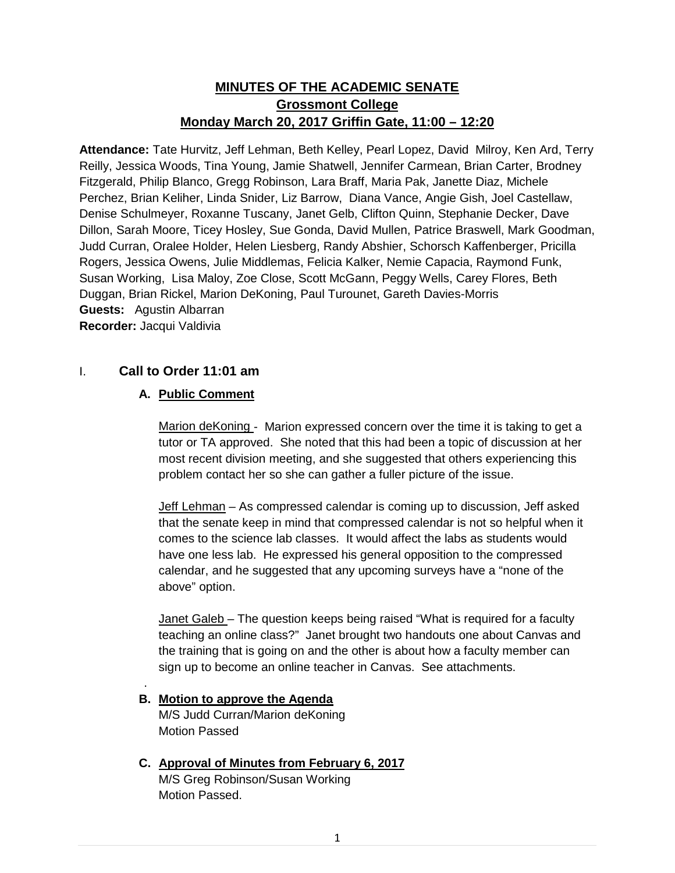# **MINUTES OF THE ACADEMIC SENATE Grossmont College Monday March 20, 2017 Griffin Gate, 11:00 – 12:20**

**Attendance:** Tate Hurvitz, Jeff Lehman, Beth Kelley, Pearl Lopez, David Milroy, Ken Ard, Terry Reilly, Jessica Woods, Tina Young, Jamie Shatwell, Jennifer Carmean, Brian Carter, Brodney Fitzgerald, Philip Blanco, Gregg Robinson, Lara Braff, Maria Pak, Janette Diaz, Michele Perchez, Brian Keliher, Linda Snider, Liz Barrow, Diana Vance, Angie Gish, Joel Castellaw, Denise Schulmeyer, Roxanne Tuscany, Janet Gelb, Clifton Quinn, Stephanie Decker, Dave Dillon, Sarah Moore, Ticey Hosley, Sue Gonda, David Mullen, Patrice Braswell, Mark Goodman, Judd Curran, Oralee Holder, Helen Liesberg, Randy Abshier, Schorsch Kaffenberger, Pricilla Rogers, Jessica Owens, Julie Middlemas, Felicia Kalker, Nemie Capacia, Raymond Funk, Susan Working, Lisa Maloy, Zoe Close, Scott McGann, Peggy Wells, Carey Flores, Beth Duggan, Brian Rickel, Marion DeKoning, Paul Turounet, Gareth Davies-Morris **Guests:** Agustin Albarran **Recorder:** Jacqui Valdivia

# I. **Call to Order 11:01 am**

# **A. Public Comment**

Marion deKoning - Marion expressed concern over the time it is taking to get a tutor or TA approved. She noted that this had been a topic of discussion at her most recent division meeting, and she suggested that others experiencing this problem contact her so she can gather a fuller picture of the issue.

Jeff Lehman – As compressed calendar is coming up to discussion, Jeff asked that the senate keep in mind that compressed calendar is not so helpful when it comes to the science lab classes. It would affect the labs as students would have one less lab. He expressed his general opposition to the compressed calendar, and he suggested that any upcoming surveys have a "none of the above" option.

Janet Galeb – The question keeps being raised "What is required for a faculty teaching an online class?" Janet brought two handouts one about Canvas and the training that is going on and the other is about how a faculty member can sign up to become an online teacher in Canvas. See attachments.

**B. Motion to approve the Agenda** M/S Judd Curran/Marion deKoning

Motion Passed

.

**C. Approval of Minutes from February 6, 2017**

M/S Greg Robinson/Susan Working Motion Passed.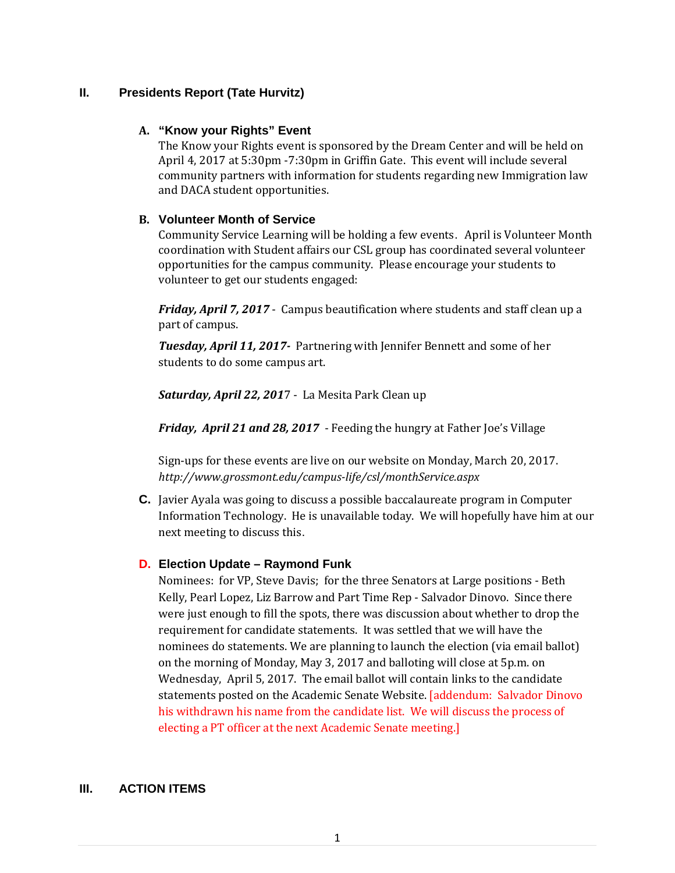# **II. Presidents Report (Tate Hurvitz)**

#### **A. "Know your Rights" Event**

The Know your Rights event is sponsored by the Dream Center and will be held on April 4, 2017 at 5:30pm -7:30pm in Griffin Gate. This event will include several community partners with information for students regarding new Immigration law and DACA student opportunities.

#### **B. Volunteer Month of Service**

Community Service Learning will be holding a few events. April is Volunteer Month coordination with Student affairs our CSL group has coordinated several volunteer opportunities for the campus community. Please encourage your students to volunteer to get our students engaged:

*Friday, April 7, 2017* - Campus beautification where students and staff clean up a part of campus.

*Tuesday, April 11, 2017-* Partnering with Jennifer Bennett and some of her students to do some campus art.

*Saturday, April 22, 201*7 - La Mesita Park Clean up

*Friday, April 21 and 28, 2017* - Feeding the hungry at Father Joe's Village

Sign-ups for these events are live on our website on Monday, March 20, 2017. *http://www.grossmont.edu/campus-life/csl/monthService.aspx*

**C.** Javier Ayala was going to discuss a possible baccalaureate program in Computer Information Technology. He is unavailable today. We will hopefully have him at our next meeting to discuss this.

# **D. Election Update – Raymond Funk**

Nominees: for VP, Steve Davis; for the three Senators at Large positions - Beth Kelly, Pearl Lopez, Liz Barrow and Part Time Rep - Salvador Dinovo. Since there were just enough to fill the spots, there was discussion about whether to drop the requirement for candidate statements. It was settled that we will have the nominees do statements. We are planning to launch the election (via email ballot) on the morning of Monday, May 3, 2017 and balloting will close at 5p.m. on Wednesday, April 5, 2017. The email ballot will contain links to the candidate statements posted on the Academic Senate Website. [addendum: Salvador Dinovo his withdrawn his name from the candidate list. We will discuss the process of electing a PT officer at the next Academic Senate meeting.]

# **III. ACTION ITEMS**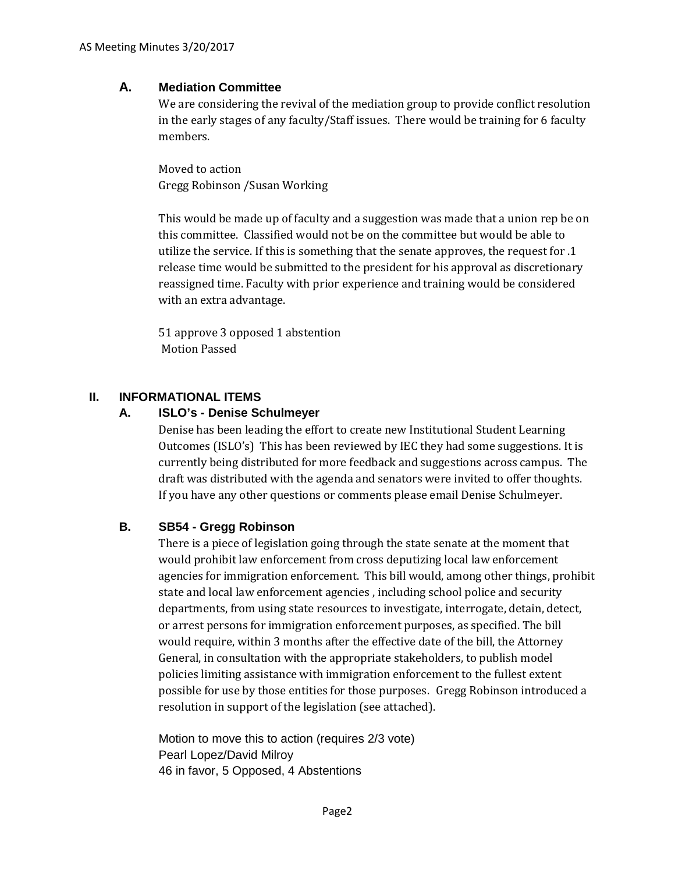# **A. Mediation Committee**

We are considering the revival of the mediation group to provide conflict resolution in the early stages of any faculty/Staff issues. There would be training for 6 faculty members.

Moved to action Gregg Robinson /Susan Working

This would be made up of faculty and a suggestion was made that a union rep be on this committee. Classified would not be on the committee but would be able to utilize the service. If this is something that the senate approves, the request for .1 release time would be submitted to the president for his approval as discretionary reassigned time. Faculty with prior experience and training would be considered with an extra advantage.

51 approve 3 opposed 1 abstention Motion Passed

# **II. INFORMATIONAL ITEMS**

# **A. ISLO's - Denise Schulmeyer**

Denise has been leading the effort to create new Institutional Student Learning Outcomes (ISLO's) This has been reviewed by IEC they had some suggestions. It is currently being distributed for more feedback and suggestions across campus. The draft was distributed with the agenda and senators were invited to offer thoughts. If you have any other questions or comments please email Denise Schulmeyer.

# **B. SB54 - Gregg Robinson**

There is a piece of legislation going through the state senate at the moment that would prohibit law enforcement from cross deputizing local law enforcement agencies for immigration enforcement. This bill would, among other things, prohibit state and local law enforcement agencies , including school police and security departments, from using state resources to investigate, interrogate, detain, detect, or arrest persons for immigration enforcement purposes, as specified. The bill would require, within 3 months after the effective date of the bill, the Attorney General, in consultation with the appropriate stakeholders, to publish model policies limiting assistance with immigration enforcement to the fullest extent possible for use by those entities for those purposes. Gregg Robinson introduced a resolution in support of the legislation (see attached).

Motion to move this to action (requires 2/3 vote) Pearl Lopez/David Milroy 46 in favor, 5 Opposed, 4 Abstentions